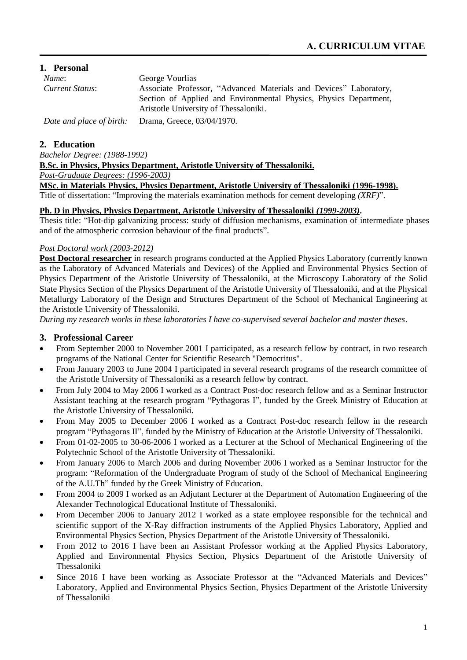## **1. Personal**

| Name:           | George Vourlias                                                                                            |
|-----------------|------------------------------------------------------------------------------------------------------------|
| Current Status: | Associate Professor, "Advanced Materials and Devices" Laboratory,                                          |
|                 | Section of Applied and Environmental Physics, Physics Department,<br>Aristotle University of Thessaloniki. |
|                 | Date and place of birth: Drama, Greece, 03/04/1970.                                                        |

## **2. Education**

*Bachelor Degree: (1988-1992)*

**B.Sc. in Physics, Physics Department, Aristotle University of Thessaloniki.**

*Post-Graduate Degrees: (1996-2003)*

**MSc. in Materials Physics, Physics Department, Aristotle University of Thessaloniki (1996-1998).**

Title of dissertation: "Improving the materials examination methods for cement developing *(XRF)*".

## **Ph. D in Physics, Physics Department, Aristotle University of Thessaloniki** *(1999-2003)***.**

Thesis title: "Hot-dip galvanizing process: study of diffusion mechanisms, examination of intermediate phases and of the atmospheric corrosion behaviour of the final products".

## *Post Doctoral work (2003-2012)*

**Post Doctoral researcher** in research programs conducted at the Applied Physics Laboratory (currently known as the Laboratory of Advanced Materials and Devices) of the Applied and Environmental Physics Section of Physics Department of the Aristotle University of Thessaloniki, at the Microscopy Laboratory of the Solid State Physics Section of the Physics Department of the Aristotle University of Thessaloniki, and at the Physical Metallurgy Laboratory of the Design and Structures Department of the School of Mechanical Engineering at the Aristotle University of Thessaloniki.

*During my research works in these laboratories I have co-supervised several bachelor and master theses*.

## **3. Professional Career**

- From September 2000 to November 2001 I participated, as a research fellow by contract, in two research programs of the National Center for Scientific Research "Democritus".
- From January 2003 to June 2004 I participated in several research programs of the research committee of the Aristotle University of Thessaloniki as a research fellow by contract.
- From July 2004 to May 2006 I worked as a Contract Post-doc research fellow and as a Seminar Instructor Assistant teaching at the research program "Pythagoras I", funded by the Greek Ministry of Education at the Aristotle University of Thessaloniki.
- From May 2005 to December 2006 I worked as a Contract Post-doc research fellow in the research program "Pythagoras II", funded by the Ministry of Education at the Aristotle University of Thessaloniki.
- From 01-02-2005 to 30-06-2006 I worked as a Lecturer at the School of Mechanical Engineering of the Polytechnic School of the Aristotle University of Thessaloniki.
- From January 2006 to March 2006 and during November 2006 I worked as a Seminar Instructor for the program: "Reformation of the Undergraduate Program of study of the School of Mechanical Engineering of the A.U.Th" funded by the Greek Ministry of Education.
- From 2004 to 2009 I worked as an Adjutant Lecturer at the Department of Automation Engineering of the Alexander Technological Educational Institute of Thessaloniki.
- From December 2006 to January 2012 I worked as a state employee responsible for the technical and scientific support of the X-Ray diffraction instruments of the Applied Physics Laboratory, Applied and Environmental Physics Section, Physics Department of the Aristotle University of Thessaloniki.
- From 2012 to 2016 I have been an Assistant Professor working at the Applied Physics Laboratory, Applied and Environmental Physics Section, Physics Department of the Aristotle University of Thessaloniki
- Since 2016 I have been working as Associate Professor at the "Advanced Materials and Devices" Laboratory, Applied and Environmental Physics Section, Physics Department of the Aristotle University of Thessaloniki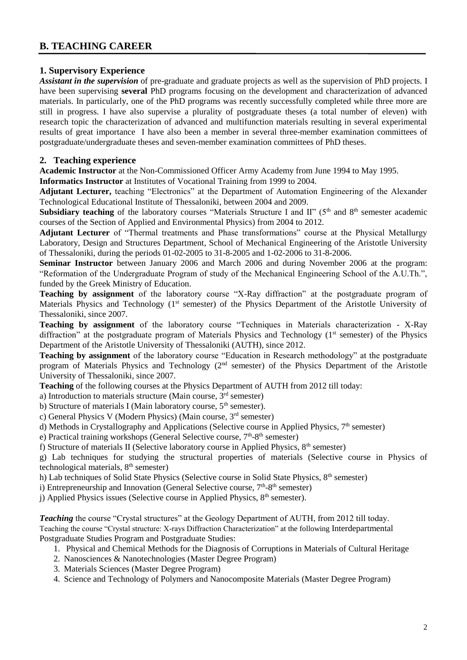# **B. TEACHING CAREER**

## **1. Supervisory Experience**

*Assistant in the supervision* of pre-graduate and graduate projects as well as the supervision of PhD projects. I have been supervising **several** PhD programs focusing on the development and characterization of advanced materials. In particularly, one of the PhD programs was recently successfully completed while three more are still in progress. I have also supervise a plurality of postgraduate theses (a total number of eleven) with research topic the characterization of advanced and multifunction materials resulting in several experimental results of great importance I have also been a member in several three-member examination committees of postgraduate/undergraduate theses and seven-member examination committees of PhD theses.

## **2. Teaching experience**

**Academic Instructor** at the Non-Commissioned Officer Army Academy from June 1994 to May 1995.

**Informatics Instructor** at Institutes of Vocational Training from 1999 to 2004.

**Adjutant Lecturer,** teaching "Electronics" at the Department of Automation Engineering of the Alexander Technological Educational Institute of Thessaloniki, between 2004 and 2009.

**Subsidiary teaching** of the laboratory courses "Materials Structure I and II" (5<sup>th</sup> and 8<sup>th</sup> semester academic courses of the Section of Applied and Environmental Physics) from 2004 to 2012.

**Adjutant Lecturer** of "Thermal treatments and Phase transformations" course at the Physical Metallurgy Laboratory, Design and Structures Department, School of Mechanical Engineering of the Aristotle University of Thessaloniki, during the periods 01-02-2005 to 31-8-2005 and 1-02-2006 to 31-8-2006.

**Seminar Instructor** between January 2006 and March 2006 and during November 2006 at the program: "Reformation of the Undergraduate Program of study of the Mechanical Engineering School of the A.U.Th.", funded by the Greek Ministry of Education.

**Teaching by assignment** of the laboratory course "X-Ray diffraction" at the postgraduate program of Materials Physics and Technology (1<sup>st</sup> semester) of the Physics Department of the Aristotle University of Thessaloniki, since 2007.

**Teaching by assignment** of the laboratory course "Techniques in Materials characterization - X-Ray diffraction" at the postgraduate program of Materials Physics and Technology (1<sup>st</sup> semester) of the Physics Department of the Aristotle University of Thessaloniki (AUTH), since 2012.

**Teaching by assignment** of the laboratory course "Education in Research methodology" at the postgraduate program of Materials Physics and Technology (2<sup>nd</sup> semester) of the Physics Department of the Aristotle University of Thessaloniki, since 2007.

**Teaching** of the following courses at the Physics Department of AUTH from 2012 till today:

a) Introduction to materials structure (Main course,  $3<sup>rd</sup>$  semester)

b) Structure of materials I (Main laboratory course,  $5<sup>th</sup>$  semester).

c) General Physics V (Modern Physics) (Main course, 3rd semester)

d) Methods in Crystallography and Applications (Selective course in Applied Physics,  $7<sup>th</sup>$  semester)

e) Practical training workshops (General Selective course, 7<sup>th</sup>-8<sup>th</sup> semester)

f) Structure of materials II (Selective laboratory course in Applied Physics,  $8<sup>th</sup>$  semester)

g) Lab techniques for studying the structural properties of materials (Selective course in Physics of technological materials, 8<sup>th</sup> semester)

h) Lab techniques of Solid State Physics (Selective course in Solid State Physics, 8<sup>th</sup> semester)

i) Entrepreneurship and Innovation (General Selective course,  $7<sup>th</sup>$ -8<sup>th</sup> semester)

j) Applied Physics issues (Selective course in Applied Physics,  $8<sup>th</sup>$  semester).

*Teaching* the course "Crystal structures" at the Geology Department of AUTH, from 2012 till today. Teaching the course "Crystal structure: X-rays Diffraction Characterization" at the following Interdepartmental Postgraduate Studies Program and Postgraduate Studies:

- 1. Physical and Chemical Methods for the Diagnosis of Corruptions in Materials of Cultural Heritage
- 2. Nanosciences & Nanotechnologies (Master Degree Program)
- 3. Materials Sciences (Master Degree Program)
- 4. Science and Technology of Polymers and Nanocomposite Materials (Master Degree Program)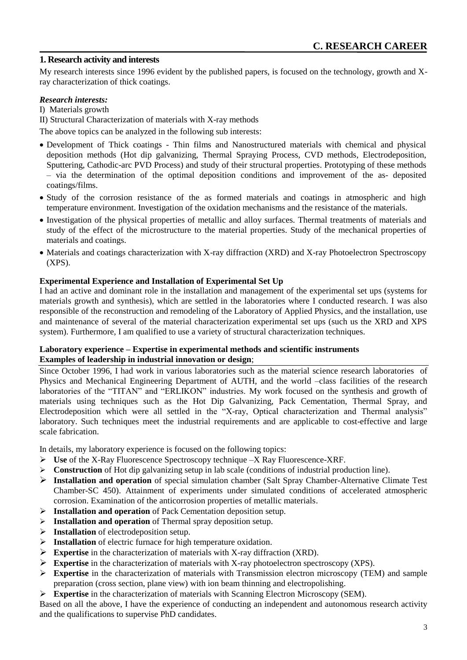## **1. Research activity and interests**

My research interests since 1996 evident by the published papers, is focused on the technology, growth and Xray characterization of thick coatings.

### *Research interests:*

I) Materials growth

II) Structural Characterization of materials with X-ray methods

The above topics can be analyzed in the following sub interests:

- Development of Thick coatings Thin films and Nanostructured materials with chemical and physical deposition methods (Hot dip galvanizing, Thermal Spraying Process, CVD methods, Electrodeposition, Sputtering, Cathodic-arc PVD Process) and study of their structural properties. Prototyping of these methods – via the determination of the optimal deposition conditions and improvement of the as- deposited coatings/films.
- Study of the corrosion resistance of the as formed materials and coatings in atmospheric and high temperature environment. Investigation of the oxidation mechanisms and the resistance of the materials.
- Investigation of the physical properties of metallic and alloy surfaces. Thermal treatments of materials and study of the effect of the microstructure to the material properties. Study of the mechanical properties of materials and coatings.
- Materials and coatings characterization with X-ray diffraction (XRD) and X-ray Photoelectron Spectroscopy (XPS).

#### **Experimental Experience and Installation of Experimental Set Up**

I had an active and dominant role in the installation and management of the experimental set ups (systems for materials growth and synthesis), which are settled in the laboratories where I conducted research. I was also responsible of the reconstruction and remodeling of the Laboratory of Applied Physics, and the installation, use and maintenance of several of the material characterization experimental set ups (such us the XRD and XPS system). Furthermore, I am qualified to use a variety of structural characterization techniques.

#### **Laboratory experience – Expertise in experimental methods and scientific instruments Examples of leadership in industrial innovation or design**;

Since October 1996, I had work in various laboratories such as the material science research laboratories of Physics and Mechanical Engineering Department of AUTH, and the world –class facilities of the research laboratories of the "TITAN" and "ERLIKON" industries. My work focused on the synthesis and growth of materials using techniques such as the Hot Dip Galvanizing, Pack Cementation, Thermal Spray, and Electrodeposition which were all settled in the "X-ray, Optical characterization and Thermal analysis" laboratory. Such techniques meet the industrial requirements and are applicable to cost-effective and large scale fabrication.

In details, my laboratory experience is focused on the following topics:

- **Use** of the X-Ray Fluorescence Spectroscopy technique –X Ray Fluorescence-XRF.
- **Construction** of Hot dip galvanizing setup in lab scale (conditions of industrial production line).
- **Installation and operation** of special simulation chamber (Salt Spray Chamber-Alternative Climate Test Chamber-SC 450). Attainment of experiments under simulated conditions of accelerated atmospheric corrosion. Examination of the anticorrosion properties of metallic materials.
- **Installation and operation** of Pack Cementation deposition setup.
- **Installation and operation** of Thermal spray deposition setup.
- **Installation** of electrodeposition setup.
- **Installation** of electric furnace for high temperature oxidation.
- **Expertise** in the characterization of materials with X-ray diffraction (XRD).
- Expertise in the characterization of materials with X-ray photoelectron spectroscopy (XPS).
- **Expertise** in the characterization of materials with Transmission electron microscopy (ΤΕΜ) and sample preparation (cross section, plane view) with ion beam thinning and electropolishing.
- Expertise in the characterization of materials with Scanning Electron Microscopy (SEM).

Based on all the above, I have the experience of conducting an independent and autonomous research activity and the qualifications to supervise PhD candidates.